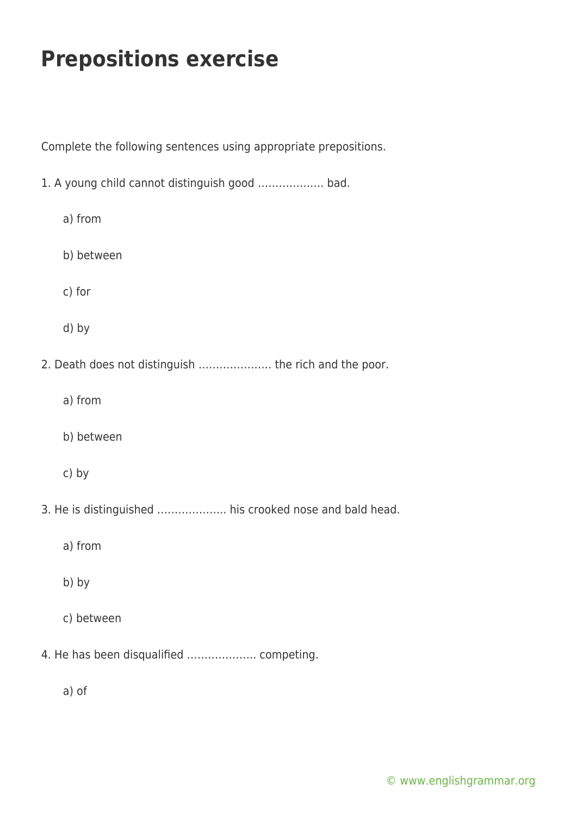Complete the following sentences using appropriate prepositions.

1. A young child cannot distinguish good ………………. bad. a) from b) between c) for d) by 2. Death does not distinguish ………………… the rich and the poor. a) from b) between c) by 3. He is distinguished ……………….. his crooked nose and bald head. a) from b) by c) between 4. He has been disqualified ……………….. competing.

a) of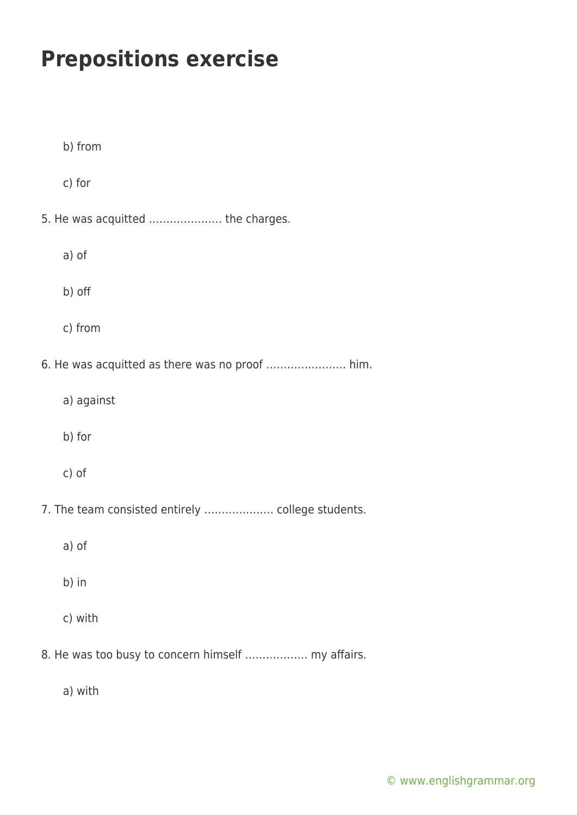| b) from                                            |  |
|----------------------------------------------------|--|
| c) for                                             |  |
| 5. He was acquitted  the charges.                  |  |
| a) of                                              |  |
| b) off                                             |  |
| c) from                                            |  |
| 6. He was acquitted as there was no proof  him.    |  |
| a) against                                         |  |
| b) for                                             |  |
| c) of                                              |  |
| 7. The team consisted entirely  college students.  |  |
| a) of                                              |  |
| b) in                                              |  |
| c) with                                            |  |
| 8. He was too busy to concern himself  my affairs. |  |

a) with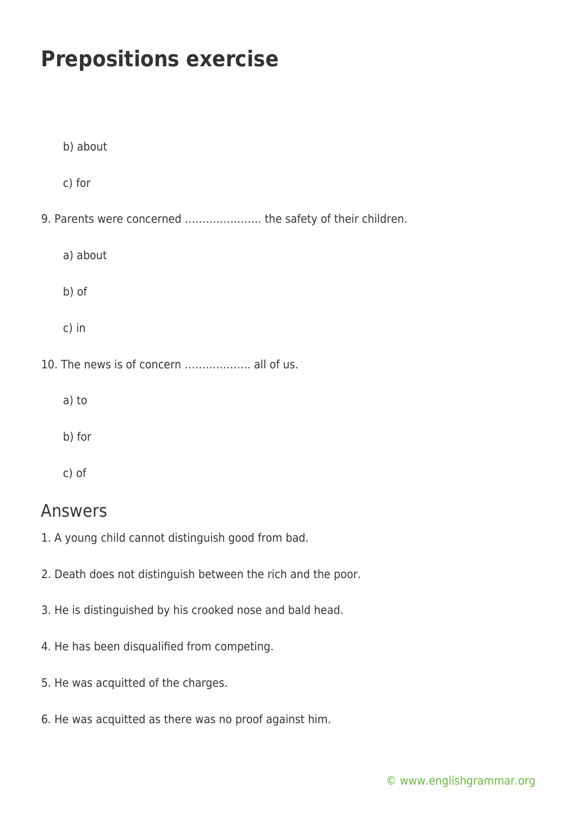| b) about                                                 |
|----------------------------------------------------------|
| c) for                                                   |
| 9. Parents were concerned  the safety of their children. |
| a) about                                                 |
| b) of                                                    |
| c) in                                                    |
| 10. The news is of concern  all of us.                   |
| a) to                                                    |
| b) for                                                   |
| c) of                                                    |

#### Answers

- 1. A young child cannot distinguish good from bad.
- 2. Death does not distinguish between the rich and the poor.
- 3. He is distinguished by his crooked nose and bald head.
- 4. He has been disqualified from competing.
- 5. He was acquitted of the charges.
- 6. He was acquitted as there was no proof against him.